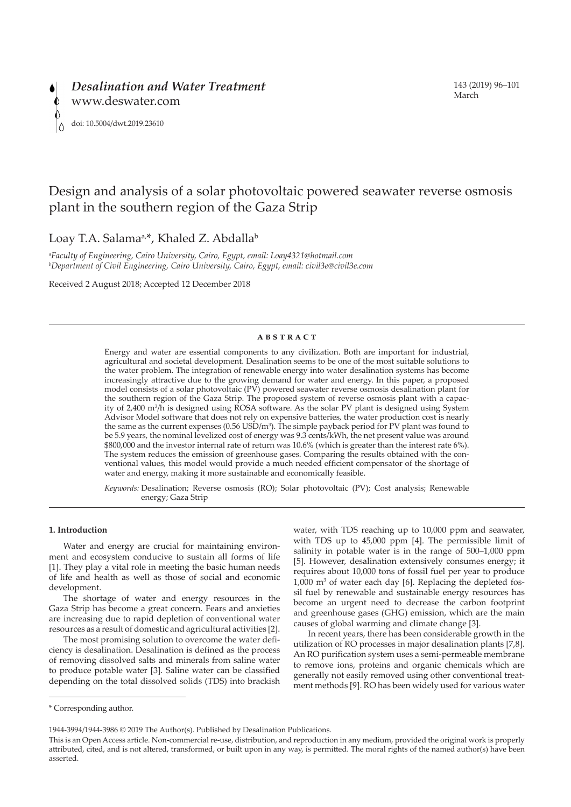

# Design and analysis of a solar photovoltaic powered seawater reverse osmosis plant in the southern region of the Gaza Strip

Loay T.A. Salama<sup>a,\*</sup>, Khaled Z. Abdalla<sup>b</sup>

*a Faculty of Engineering, Cairo University, Cairo, Egypt, email: Loay4321@hotmail.com b Department of Civil Engineering, Cairo University, Cairo, Egypt, email: civil3e@civil3e.com* 

Received 2 August 2018; Accepted 12 December 2018

#### **ABSTRACT**

Energy and water are essential components to any civilization. Both are important for industrial, agricultural and societal development. Desalination seems to be one of the most suitable solutions to the water problem. The integration of renewable energy into water desalination systems has become increasingly attractive due to the growing demand for water and energy. In this paper, a proposed model consists of a solar photovoltaic (PV) powered seawater reverse osmosis desalination plant for the southern region of the Gaza Strip. The proposed system of reverse osmosis plant with a capacity of 2,400 m3 /h is designed using ROSA software. As the solar PV plant is designed using System Advisor Model software that does not rely on expensive batteries, the water production cost is nearly the same as the current expenses  $(0.56 \text{ USD/m}^3)$ . The simple payback period for PV plant was found to be 5.9 years, the nominal levelized cost of energy was 9.3 cents/kWh, the net present value was around \$800,000 and the investor internal rate of return was 10.6% (which is greater than the interest rate 6%). The system reduces the emission of greenhouse gases. Comparing the results obtained with the conventional values, this model would provide a much needed efficient compensator of the shortage of water and energy, making it more sustainable and economically feasible.

*Keywords:* Desalination; Reverse osmosis (RO); Solar photovoltaic (PV); Cost analysis; Renewable energy; Gaza Strip

# **1. Introduction**

Water and energy are crucial for maintaining environment and ecosystem conducive to sustain all forms of life [1]. They play a vital role in meeting the basic human needs of life and health as well as those of social and economic development.

The shortage of water and energy resources in the Gaza Strip has become a great concern. Fears and anxieties are increasing due to rapid depletion of conventional water resources as a result of domestic and agricultural activities [2].

The most promising solution to overcome the water deficiency is desalination. Desalination is defined as the process of removing dissolved salts and minerals from saline water to produce potable water [3]. Saline water can be classified depending on the total dissolved solids (TDS) into brackish water, with TDS reaching up to 10,000 ppm and seawater, with TDS up to 45,000 ppm [4]. The permissible limit of salinity in potable water is in the range of 500–1,000 ppm [5]. However, desalination extensively consumes energy; it requires about 10,000 tons of fossil fuel per year to produce 1,000 m3 of water each day [6]. Replacing the depleted fossil fuel by renewable and sustainable energy resources has become an urgent need to decrease the carbon footprint and greenhouse gases (GHG) emission, which are the main causes of global warming and climate change [3].

In recent years, there has been considerable growth in the utilization of RO processes in major desalination plants [7,8]. An RO purification system uses a semi-permeable membrane to remove ions, proteins and organic chemicals which are generally not easily removed using other conventional treatment methods [9]. RO has been widely used for various water

<sup>\*</sup> Corresponding author.

<sup>1944-3994/1944-3986 © 2019</sup> The Author(s). Published by Desalination Publications.

This is an Open Access article. Non-commercial re-use, distribution, and reproduction in any medium, provided the original work is properly attributed, cited, and is not altered, transformed, or built upon in any way, is permitted. The moral rights of the named author(s) have been asserted.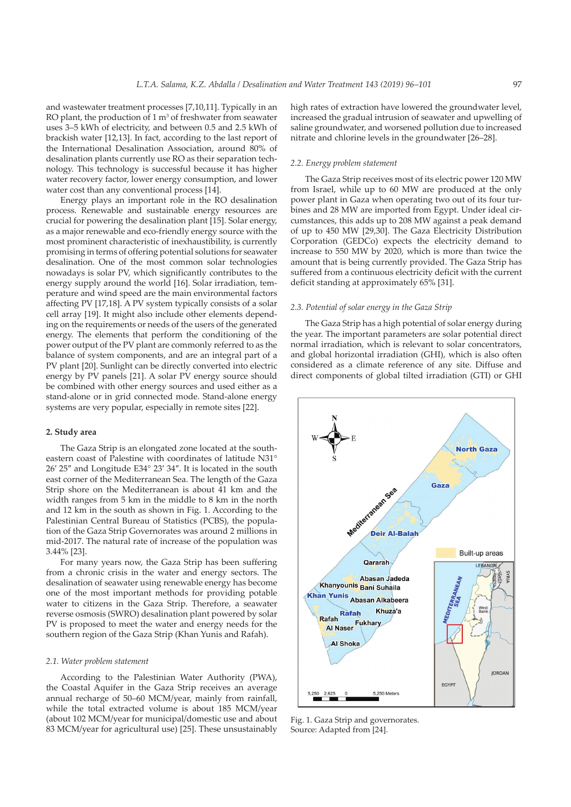and wastewater treatment processes [7,10,11]. Typically in an RO plant, the production of  $1 \text{ m}^3$  of freshwater from seawater uses 3–5 kWh of electricity, and between 0.5 and 2.5 kWh of brackish water [12,13]. In fact, according to the last report of the International Desalination Association, around 80% of desalination plants currently use RO as their separation technology. This technology is successful because it has higher water recovery factor, lower energy consumption, and lower water cost than any conventional process [14].

Energy plays an important role in the RO desalination process. Renewable and sustainable energy resources are crucial for powering the desalination plant [15]. Solar energy, as a major renewable and eco-friendly energy source with the most prominent characteristic of inexhaustibility, is currently promising in terms of offering potential solutions for seawater desalination. One of the most common solar technologies nowadays is solar PV, which significantly contributes to the energy supply around the world [16]. Solar irradiation, temperature and wind speed are the main environmental factors affecting PV [17,18]. A PV system typically consists of a solar cell array [19]. It might also include other elements depending on the requirements or needs of the users of the generated energy. The elements that perform the conditioning of the power output of the PV plant are commonly referred to as the balance of system components, and are an integral part of a PV plant [20]. Sunlight can be directly converted into electric energy by PV panels [21]. A solar PV energy source should be combined with other energy sources and used either as a stand-alone or in grid connected mode. Stand-alone energy systems are very popular, especially in remote sites [22].

### **2. Study area**

The Gaza Strip is an elongated zone located at the southeastern coast of Palestine with coordinates of latitude N31° 26′ 25″ and Longitude E34° 23′ 34″. It is located in the south east corner of the Mediterranean Sea. The length of the Gaza Strip shore on the Mediterranean is about 41 km and the width ranges from 5 km in the middle to 8 km in the north and 12 km in the south as shown in Fig. 1. According to the Palestinian Central Bureau of Statistics (PCBS), the population of the Gaza Strip Governorates was around 2 millions in mid-2017. The natural rate of increase of the population was 3.44% [23].

For many years now, the Gaza Strip has been suffering from a chronic crisis in the water and energy sectors. The desalination of seawater using renewable energy has become one of the most important methods for providing potable water to citizens in the Gaza Strip. Therefore, a seawater reverse osmosis (SWRO) desalination plant powered by solar PV is proposed to meet the water and energy needs for the southern region of the Gaza Strip (Khan Yunis and Rafah).

## *2.1. Water problem statement*

According to the Palestinian Water Authority (PWA), the Coastal Aquifer in the Gaza Strip receives an average annual recharge of 50–60 MCM/year, mainly from rainfall, while the total extracted volume is about 185 MCM/year (about 102 MCM/year for municipal/domestic use and about 83 MCM/year for agricultural use) [25]. These unsustainably

high rates of extraction have lowered the groundwater level, increased the gradual intrusion of seawater and upwelling of saline groundwater, and worsened pollution due to increased nitrate and chlorine levels in the groundwater [26–28].

#### *2.2. Energy problem statement*

The Gaza Strip receives most of its electric power 120 MW from Israel, while up to 60 MW are produced at the only power plant in Gaza when operating two out of its four turbines and 28 MW are imported from Egypt. Under ideal circumstances, this adds up to 208 MW against a peak demand of up to 450 MW [29,30]. The Gaza Electricity Distribution Corporation (GEDCo) expects the electricity demand to increase to 550 MW by 2020, which is more than twice the amount that is being currently provided. The Gaza Strip has suffered from a continuous electricity deficit with the current deficit standing at approximately 65% [31].

# *2.3. Potential of solar energy in the Gaza Strip*

The Gaza Strip has a high potential of solar energy during the year. The important parameters are solar potential direct normal irradiation, which is relevant to solar concentrators, and global horizontal irradiation (GHI), which is also often considered as a climate reference of any site. Diffuse and direct components of global tilted irradiation (GTI) or GHI



Fig. 1. Gaza Strip and governorates. Source: Adapted from [24].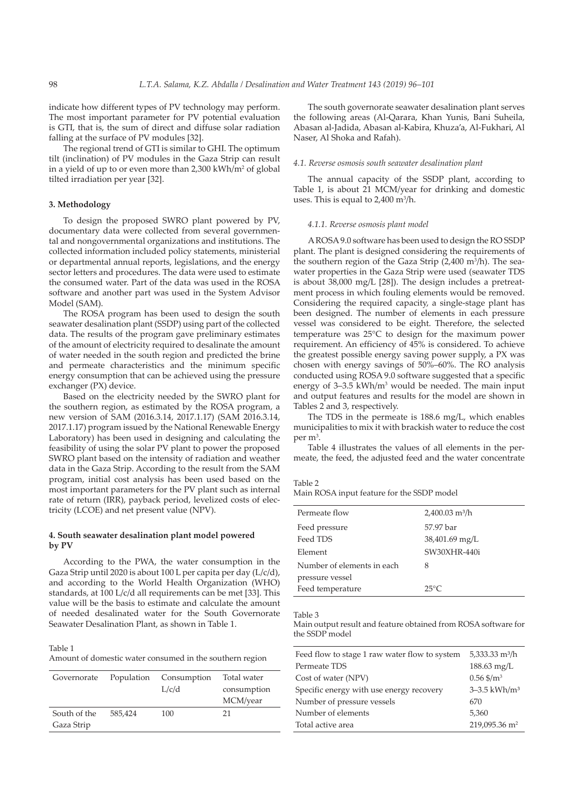indicate how different types of PV technology may perform. The most important parameter for PV potential evaluation is GTI, that is, the sum of direct and diffuse solar radiation falling at the surface of PV modules [32].

The regional trend of GTI is similar to GHI. The optimum tilt (inclination) of PV modules in the Gaza Strip can result in a yield of up to or even more than 2,300 kWh/m<sup>2</sup> of global tilted irradiation per year [32].

# **3. Methodology**

To design the proposed SWRO plant powered by PV, documentary data were collected from several governmental and nongovernmental organizations and institutions. The collected information included policy statements, ministerial or departmental annual reports, legislations, and the energy sector letters and procedures. The data were used to estimate the consumed water. Part of the data was used in the ROSA software and another part was used in the System Advisor Model (SAM).

The ROSA program has been used to design the south seawater desalination plant (SSDP) using part of the collected data. The results of the program gave preliminary estimates of the amount of electricity required to desalinate the amount of water needed in the south region and predicted the brine and permeate characteristics and the minimum specific energy consumption that can be achieved using the pressure exchanger (PX) device.

Based on the electricity needed by the SWRO plant for the southern region, as estimated by the ROSA program, a new version of SAM (2016.3.14, 2017.1.17) (SAM 2016.3.14, 2017.1.17) program issued by the National Renewable Energy Laboratory) has been used in designing and calculating the feasibility of using the solar PV plant to power the proposed SWRO plant based on the intensity of radiation and weather data in the Gaza Strip. According to the result from the SAM program, initial cost analysis has been used based on the most important parameters for the PV plant such as internal rate of return (IRR), payback period, levelized costs of electricity (LCOE) and net present value (NPV).

## **4. South seawater desalination plant model powered by PV**

According to the PWA, the water consumption in the Gaza Strip until 2020 is about 100 L per capita per day (L/c/d), and according to the World Health Organization (WHO) standards, at 100 L/c/d all requirements can be met [33]. This value will be the basis to estimate and calculate the amount of needed desalinated water for the South Governorate Seawater Desalination Plant, as shown in Table 1.

#### Table 1

Amount of domestic water consumed in the southern region

| Governorate                | Population | Consumption<br>L/c/d | Total water<br>consumption<br>MCM/year |
|----------------------------|------------|----------------------|----------------------------------------|
| South of the<br>Gaza Strip | 585,424    | 100                  | 21                                     |

The south governorate seawater desalination plant serves the following areas (Al-Qarara, Khan Yunis, Bani Suheila, Abasan al-Jadida, Abasan al-Kabira, Khuza'a, Al-Fukhari, Al Naser, Al Shoka and Rafah).

### *4.1. Reverse osmosis south seawater desalination plant*

The annual capacity of the SSDP plant, according to Table 1, is about 21 MCM/year for drinking and domestic uses. This is equal to  $2,400 \text{ m}^3/\text{h}$ .

#### *4.1.1. Reverse osmosis plant model*

A ROSA 9.0 software has been used to design the RO SSDP plant. The plant is designed considering the requirements of the southern region of the Gaza Strip (2,400 m<sup>3</sup>/h). The seawater properties in the Gaza Strip were used (seawater TDS is about 38,000 mg/L [28]). The design includes a pretreatment process in which fouling elements would be removed. Considering the required capacity, a single-stage plant has been designed. The number of elements in each pressure vessel was considered to be eight. Therefore, the selected temperature was 25°C to design for the maximum power requirement. An efficiency of 45% is considered. To achieve the greatest possible energy saving power supply, a PX was chosen with energy savings of 50%–60%. The RO analysis conducted using ROSA 9.0 software suggested that a specific energy of 3–3.5 kWh/m<sup>3</sup> would be needed. The main input and output features and results for the model are shown in Tables 2 and 3, respectively.

The TDS in the permeate is 188.6 mg/L, which enables municipalities to mix it with brackish water to reduce the cost per m<sup>3</sup>.

Table 4 illustrates the values of all elements in the permeate, the feed, the adjusted feed and the water concentrate

Table 2

Main ROSA input feature for the SSDP model

| Permeate flow              | $2,400.03$ m <sup>3</sup> /h |
|----------------------------|------------------------------|
| Feed pressure              | 57.97 bar                    |
| Feed TDS                   | 38,401.69 mg/L               |
| Element                    | SW30XHR-440i                 |
| Number of elements in each | 8                            |
| pressure vessel            |                              |
| Feed temperature           | $25^{\circ}C$                |

Table 3

Main output result and feature obtained from ROSA software for the SSDP model

| Feed flow to stage 1 raw water flow to system | $5,333.33 \text{ m}^3/\text{h}$ |
|-----------------------------------------------|---------------------------------|
| Permeate TDS                                  | $188.63 \,\mathrm{mg/L}$        |
| Cost of water (NPV)                           | $0.56$ \$/m <sup>3</sup>        |
| Specific energy with use energy recovery      | $3 - 3.5$ kWh/m <sup>3</sup>    |
| Number of pressure vessels                    | 670                             |
| Number of elements                            | 5,360                           |
| Total active area                             | 219,095.36 m <sup>2</sup>       |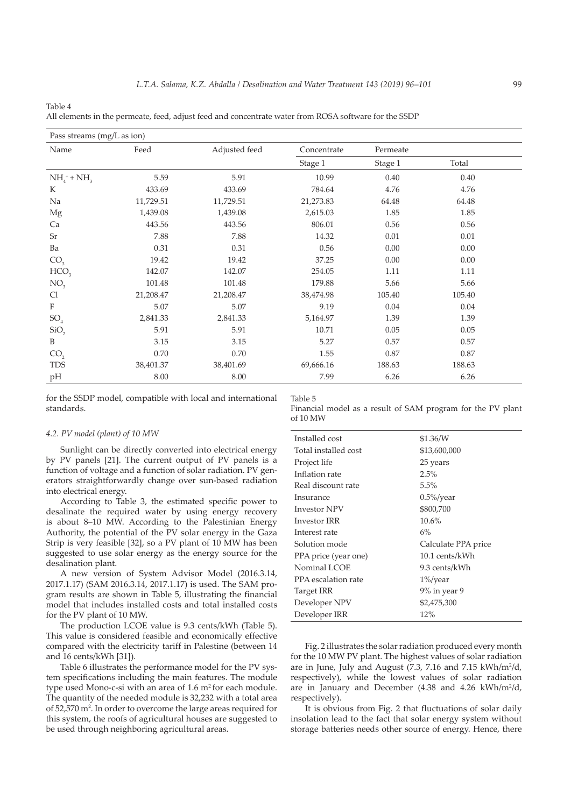| Pass streams (mg/L as ion) |           |               |             |          |        |  |
|----------------------------|-----------|---------------|-------------|----------|--------|--|
| Name                       | Feed      | Adjusted feed | Concentrate | Permeate |        |  |
|                            |           |               | Stage 1     | Stage 1  | Total  |  |
| $NH_4^+ + NH_3$            | 5.59      | 5.91          | 10.99       | 0.40     | 0.40   |  |
| K                          | 433.69    | 433.69        | 784.64      | 4.76     | 4.76   |  |
| Na                         | 11,729.51 | 11,729.51     | 21,273.83   | 64.48    | 64.48  |  |
| Mg                         | 1,439.08  | 1,439.08      | 2,615.03    | 1.85     | 1.85   |  |
| Ca                         | 443.56    | 443.56        | 806.01      | 0.56     | 0.56   |  |
| <b>Sr</b>                  | 7.88      | 7.88          | 14.32       | 0.01     | 0.01   |  |
| Ba                         | 0.31      | 0.31          | 0.56        | 0.00     | 0.00   |  |
| CO <sub>3</sub>            | 19.42     | 19.42         | 37.25       | 0.00     | 0.00   |  |
| HCO <sub>3</sub>           | 142.07    | 142.07        | 254.05      | 1.11     | 1.11   |  |
| NO <sub>3</sub>            | 101.48    | 101.48        | 179.88      | 5.66     | 5.66   |  |
| Cl                         | 21,208.47 | 21,208.47     | 38,474.98   | 105.40   | 105.40 |  |
| $\mathbf F$                | 5.07      | 5.07          | 9.19        | 0.04     | 0.04   |  |
| SO <sub>4</sub>            | 2,841.33  | 2,841.33      | 5,164.97    | 1.39     | 1.39   |  |
| SiO <sub>2</sub>           | 5.91      | 5.91          | 10.71       | 0.05     | 0.05   |  |
| B                          | 3.15      | 3.15          | 5.27        | 0.57     | 0.57   |  |
| CO <sub>2</sub>            | 0.70      | 0.70          | 1.55        | 0.87     | 0.87   |  |
| <b>TDS</b>                 | 38,401.37 | 38,401.69     | 69,666.16   | 188.63   | 188.63 |  |
| pH                         | 8.00      | 8.00          | 7.99        | 6.26     | 6.26   |  |

Table 4 All elements in the permeate, feed, adjust feed and concentrate water from ROSA software for the SSDP

for the SSDP model, compatible with local and international standards.

## *4.2. PV model (plant) of 10 MW*

Sunlight can be directly converted into electrical energy by PV panels [21]. The current output of PV panels is a function of voltage and a function of solar radiation. PV generators straightforwardly change over sun-based radiation into electrical energy.

According to Table 3, the estimated specific power to desalinate the required water by using energy recovery is about 8–10 MW. According to the Palestinian Energy Authority, the potential of the PV solar energy in the Gaza Strip is very feasible [32], so a PV plant of 10 MW has been suggested to use solar energy as the energy source for the desalination plant.

A new version of System Advisor Model (2016.3.14, 2017.1.17) (SAM 2016.3.14, 2017.1.17) is used. The SAM program results are shown in Table 5, illustrating the financial model that includes installed costs and total installed costs for the PV plant of 10 MW.

The production LCOE value is 9.3 cents/kWh (Table 5). This value is considered feasible and economically effective compared with the electricity tariff in Palestine (between 14 and 16 cents/kWh [31]).

Table 6 illustrates the performance model for the PV system specifications including the main features. The module type used Mono-c-si with an area of  $1.6 \text{ m}^2$  for each module. The quantity of the needed module is 32,232 with a total area of 52,570 m2 . In order to overcome the large areas required for this system, the roofs of agricultural houses are suggested to be used through neighboring agricultural areas.

Table 5

Financial model as a result of SAM program for the PV plant of 10 MW

| Installed cost       | \$1.36/W            |
|----------------------|---------------------|
| Total installed cost | \$13,600,000        |
| Project life         | 25 years            |
| Inflation rate       | 2.5%                |
| Real discount rate   | 5.5%                |
| Insurance            | $0.5\%$ /year       |
| <b>Investor NPV</b>  | \$800,700           |
| Investor IRR         | 10.6%               |
| Interest rate        | 6%                  |
| Solution mode        | Calculate PPA price |
| PPA price (year one) | 10.1 cents/kWh      |
| Nominal LCOE         | 9.3 cents/kWh       |
| PPA escalation rate  | $1\%$ /year         |
| Target IRR           | 9% in year 9        |
| Developer NPV        | \$2,475,300         |
| Developer IRR        | 12%                 |

Fig. 2 illustrates the solar radiation produced every month for the 10 MW PV plant. The highest values of solar radiation are in June, July and August (7.3, 7.16 and 7.15 kWh/m<sup>2</sup>/d, respectively), while the lowest values of solar radiation are in January and December  $(4.38 \text{ and } 4.26 \text{ kWh/m}^2/d,$ respectively).

It is obvious from Fig. 2 that fluctuations of solar daily insolation lead to the fact that solar energy system without storage batteries needs other source of energy. Hence, there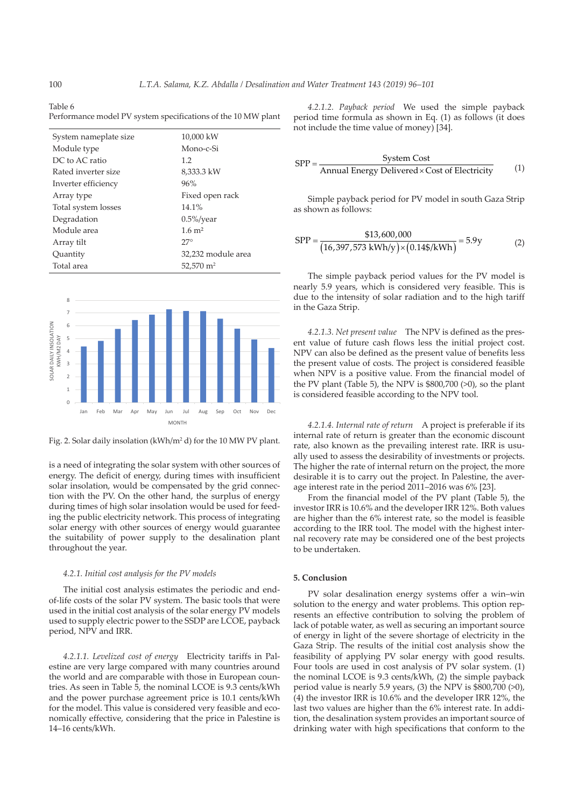Table 6 Performance model PV system specifications of the 10 MW plant

| System nameplate size | 10,000 kW             |
|-----------------------|-----------------------|
| Module type           | Mono-c-Si             |
| DC to AC ratio        | 1.2                   |
| Rated inverter size   | 8,333.3 kW            |
| Inverter efficiency   | 96%                   |
| Array type            | Fixed open rack       |
| Total system losses   | 14.1%                 |
| Degradation           | $0.5\%$ /year         |
| Module area           | $1.6 \; \mathrm{m}^2$ |
| Array tilt            | $27^\circ$            |
| Quantity              | 32,232 module area    |
| Total area            | 52,570 m <sup>2</sup> |



Fig. 2. Solar daily insolation (kWh/m<sup>2</sup> d) for the 10 MW PV plant.

is a need of integrating the solar system with other sources of energy. The deficit of energy, during times with insufficient solar insolation, would be compensated by the grid connection with the PV. On the other hand, the surplus of energy during times of high solar insolation would be used for feeding the public electricity network. This process of integrating solar energy with other sources of energy would guarantee the suitability of power supply to the desalination plant throughout the year.

## *4.2.1. Initial cost analysis for the PV models*

The initial cost analysis estimates the periodic and endof-life costs of the solar PV system. The basic tools that were used in the initial cost analysis of the solar energy PV models used to supply electric power to the SSDP are LCOE, payback period, NPV and IRR.

*4.2.1.1. Levelized cost of energy* Electricity tariffs in Palestine are very large compared with many countries around the world and are comparable with those in European countries. As seen in Table 5, the nominal LCOE is 9.3 cents/kWh and the power purchase agreement price is 10.1 cents/kWh for the model. This value is considered very feasible and economically effective, considering that the price in Palestine is 14–16 cents/kWh.

*4.2.1.2. Payback period* We used the simple payback period time formula as shown in Eq. (1) as follows (it does not include the time value of money) [34].

$$
SPP = \frac{System Cost}{Annual Energy Delivered \times Cost of Electricity} \tag{1}
$$

Simple payback period for PV model in south Gaza Strip as shown as follows:

$$
SPP = \frac{$13,600,000}{$(16,397,573 \text{ kWh/y}) \times (0.14\$/kWh)} = 5.9 \text{y}
$$
 (2)

The simple payback period values for the PV model is nearly 5.9 years, which is considered very feasible. This is due to the intensity of solar radiation and to the high tariff in the Gaza Strip.

*4.2.1.3. Net present value* The NPV is defined as the present value of future cash flows less the initial project cost. NPV can also be defined as the present value of benefits less the present value of costs. The project is considered feasible when NPV is a positive value. From the financial model of the PV plant (Table 5), the NPV is \$800,700 (>0), so the plant is considered feasible according to the NPV tool.

*4.2.1.4. Internal rate of return* A project is preferable if its internal rate of return is greater than the economic discount rate, also known as the prevailing interest rate. IRR is usually used to assess the desirability of investments or projects. The higher the rate of internal return on the project, the more desirable it is to carry out the project. In Palestine, the average interest rate in the period 2011–2016 was 6% [23].

From the financial model of the PV plant (Table 5), the investor IRR is 10.6% and the developer IRR 12%. Both values are higher than the 6% interest rate, so the model is feasible according to the IRR tool. The model with the highest internal recovery rate may be considered one of the best projects to be undertaken.

### **5. Conclusion**

PV solar desalination energy systems offer a win–win solution to the energy and water problems. This option represents an effective contribution to solving the problem of lack of potable water, as well as securing an important source of energy in light of the severe shortage of electricity in the Gaza Strip. The results of the initial cost analysis show the feasibility of applying PV solar energy with good results. Four tools are used in cost analysis of PV solar system. (1) the nominal LCOE is 9.3 cents/kWh, (2) the simple payback period value is nearly 5.9 years, (3) the NPV is  $$800,700$  ( $>0$ ), (4) the investor IRR is 10.6% and the developer IRR 12%, the last two values are higher than the 6% interest rate. In addition, the desalination system provides an important source of drinking water with high specifications that conform to the